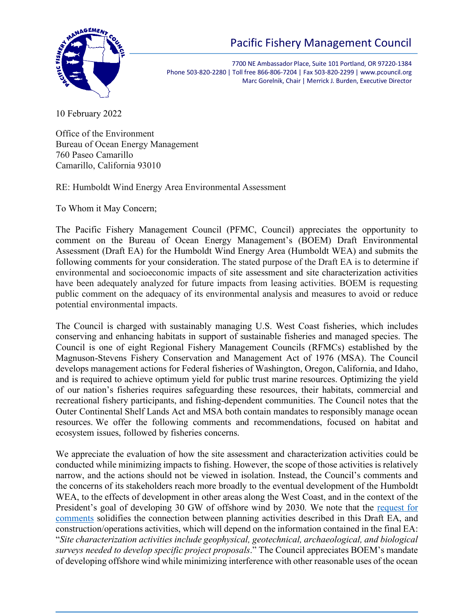# Pacific Fishery Management Council



7700 NE Ambassador Place, Suite 101 Portland, OR 97220-1384 Phone 503-820-2280 | Toll free 866-806-7204 | Fax 503-820-2299 | www.pcouncil.org Marc Gorelnik, Chair | Merrick J. Burden, Executive Director

10 February 2022

Office of the Environment Bureau of Ocean Energy Management 760 Paseo Camarillo Camarillo, California 93010

RE: Humboldt Wind Energy Area Environmental Assessment

To Whom it May Concern;

The Pacific Fishery Management Council (PFMC, Council) appreciates the opportunity to comment on the Bureau of Ocean Energy Management's (BOEM) Draft Environmental Assessment (Draft EA) for the Humboldt Wind Energy Area (Humboldt WEA) and submits the following comments for your consideration. The stated purpose of the Draft EA is to determine if environmental and socioeconomic impacts of site assessment and site characterization activities have been adequately analyzed for future impacts from leasing activities. BOEM is requesting public comment on the adequacy of its environmental analysis and measures to avoid or reduce potential environmental impacts.

The Council is charged with sustainably managing U.S. West Coast fisheries, which includes conserving and enhancing habitats in support of sustainable fisheries and managed species. The Council is one of eight Regional Fishery Management Councils (RFMCs) established by the Magnuson-Stevens Fishery Conservation and Management Act of 1976 (MSA). The Council develops management actions for Federal fisheries of Washington, Oregon, California, and Idaho, and is required to achieve optimum yield for public trust marine resources. Optimizing the yield of our nation's fisheries requires safeguarding these resources, their habitats, commercial and recreational fishery participants, and fishing-dependent communities. The Council notes that the Outer Continental Shelf Lands Act and MSA both contain mandates to responsibly manage ocean resources. We offer the following comments and recommendations, focused on habitat and ecosystem issues, followed by fisheries concerns.

We appreciate the evaluation of how the site assessment and characterization activities could be conducted while minimizing impacts to fishing. However, the scope of those activities is relatively narrow, and the actions should not be viewed in isolation. Instead, the Council's comments and the concerns of its stakeholders reach more broadly to the eventual development of the Humboldt WEA, to the effects of development in other areas along the West Coast, and in the context of the President's goal of developing 30 GW of offshore wind by 2030. We note that the [request for](https://www.regulations.gov/document/BOEM-2021-0085-0001)  [comments](https://www.regulations.gov/document/BOEM-2021-0085-0001) solidifies the connection between planning activities described in this Draft EA, and construction/operations activities, which will depend on the information contained in the final EA: "*Site characterization activities include geophysical, geotechnical, archaeological, and biological surveys needed to develop specific project proposals*." The Council appreciates BOEM's mandate of developing offshore wind while minimizing interference with other reasonable uses of the ocean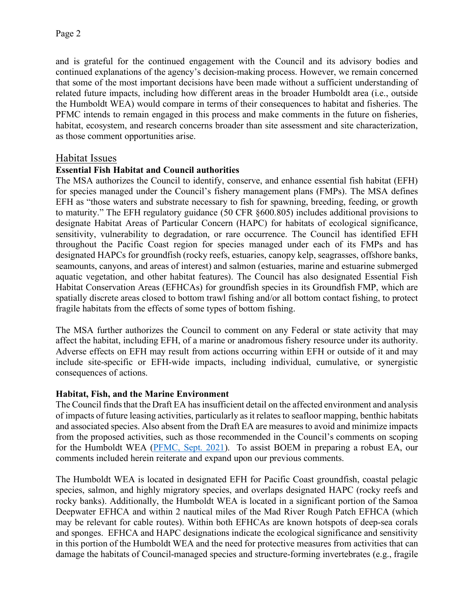and is grateful for the continued engagement with the Council and its advisory bodies and continued explanations of the agency's decision-making process. However, we remain concerned that some of the most important decisions have been made without a sufficient understanding of related future impacts, including how different areas in the broader Humboldt area (i.e., outside the Humboldt WEA) would compare in terms of their consequences to habitat and fisheries. The PFMC intends to remain engaged in this process and make comments in the future on fisheries, habitat, ecosystem, and research concerns broader than site assessment and site characterization, as those comment opportunities arise.

# Habitat Issues

# **Essential Fish Habitat and Council authorities**

The MSA authorizes the Council to identify, conserve, and enhance essential fish habitat (EFH) for species managed under the Council's fishery management plans (FMPs). The MSA defines EFH as "those waters and substrate necessary to fish for spawning, breeding, feeding, or growth to maturity." The EFH regulatory guidance (50 CFR §600.805) includes additional provisions to designate Habitat Areas of Particular Concern (HAPC) for habitats of ecological significance, sensitivity, vulnerability to degradation, or rare occurrence. The Council has identified EFH throughout the Pacific Coast region for species managed under each of its FMPs and has designated HAPCs for groundfish (rocky reefs, estuaries, canopy kelp, seagrasses, offshore banks, seamounts, canyons, and areas of interest) and salmon (estuaries, marine and estuarine submerged aquatic vegetation, and other habitat features). The Council has also designated Essential Fish Habitat Conservation Areas (EFHCAs) for groundfish species in its Groundfish FMP, which are spatially discrete areas closed to bottom trawl fishing and/or all bottom contact fishing, to protect fragile habitats from the effects of some types of bottom fishing.

The MSA further authorizes the Council to comment on any Federal or state activity that may affect the habitat, including EFH, of a marine or anadromous fishery resource under its authority. Adverse effects on EFH may result from actions occurring within EFH or outside of it and may include site-specific or EFH-wide impacts, including individual, cumulative, or synergistic consequences of actions.

# **Habitat, Fish, and the Marine Environment**

The Council finds that the Draft EA has insufficient detail on the affected environment and analysis of impacts of future leasing activities, particularly as it relates to seafloor mapping, benthic habitats and associated species. Also absent from the Draft EA are measures to avoid and minimize impacts from the proposed activities, such as those recommended in the Council's comments on scoping for the Humboldt WEA [\(PFMC, Sept. 2021\)](https://www.pcouncil.org/documents/2021/09/sept-2021-letter-to-boem-on-humboldt-bay-wind-energy-area.pdf/). To assist BOEM in preparing a robust EA, our comments included herein reiterate and expand upon our previous comments.

The Humboldt WEA is located in designated EFH for Pacific Coast groundfish, coastal pelagic species, salmon, and highly migratory species, and overlaps designated HAPC (rocky reefs and rocky banks). Additionally, the Humboldt WEA is located in a significant portion of the Samoa Deepwater EFHCA and within 2 nautical miles of the Mad River Rough Patch EFHCA (which may be relevant for cable routes). Within both EFHCAs are known hotspots of deep-sea corals and sponges. EFHCA and HAPC designations indicate the ecological significance and sensitivity in this portion of the Humboldt WEA and the need for protective measures from activities that can damage the habitats of Council-managed species and structure-forming invertebrates (e.g., fragile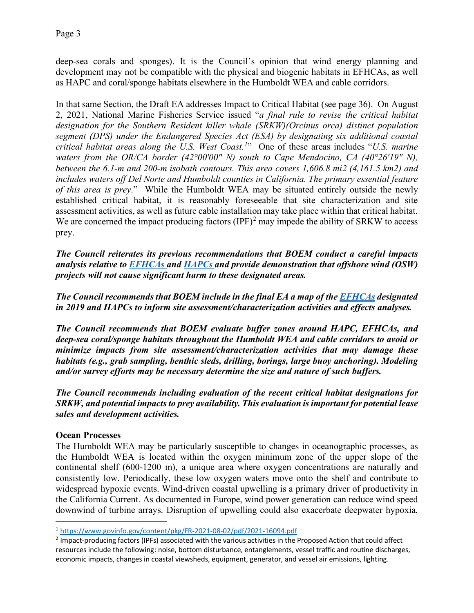deep-sea corals and sponges). It is the Council's opinion that wind energy planning and development may not be compatible with the physical and biogenic habitats in EFHCAs, as well as HAPC and coral/sponge habitats elsewhere in the Humboldt WEA and cable corridors.

In that same Section, the Draft EA addresses Impact to Critical Habitat (see page 36). On August 2, 2021, National Marine Fisheries Service issued "*a final rule to revise the critical habitat designation for the Southern Resident killer whale (SRKW)(Orcinus orca) distinct population segment (DPS) under the Endangered Species Act (ESA) by designating six additional coastal critical habitat areas along the U.S. West Coast.[1](#page-2-0)* " One of these areas includes "*U.S. marine waters from the OR/CA border (42°00′00″ N) south to Cape Mendocino, CA (40°26′19″ N), between the 6.1-m and 200-m isobath contours. This area covers 1,606.8 mi2 (4,161.5 km2) and includes waters off Del Norte and Humboldt counties in California. The primary essential feature of this area is prey*." While the Humboldt WEA may be situated entirely outside the newly established critical habitat, it is reasonably foreseeable that site characterization and site assessment activities, as well as future cable installation may take place within that critical habitat. We are concerned the impact producing factors  $(IPF)^2$  $(IPF)^2$  may impede the ability of SRKW to access prey.

*The Council reiterates its previous recommendations that BOEM conduct a careful impacts analysis relative to [EFHCAs a](https://www.fisheries.noaa.gov/action/amendment-28-pacific-coast-groundfish-fishery-management-plan)nd [HAPCs a](https://www.fisheries.noaa.gov/west-coast/habitat-conservation/habitat-areas-particular-concern-west-coast)nd provide demonstration that offshore wind (OSW) projects will not cause significant harm to these designated areas.* 

*The Council recommends that BOEM include in the final EA a map of th[e EFHCAs](https://www.fisheries.noaa.gov/action/amendment-28-pacific-coast-groundfish-fishery-management-plan) designated in 2019 and HAPCs to inform site assessment/characterization activities and effects analyses.* 

*The Council recommends that BOEM evaluate buffer zones around HAPC, EFHCAs, and deep-sea coral/sponge habitats throughout the Humboldt WEA and cable corridors to avoid or minimize impacts from site assessment/characterization activities that may damage these habitats (e.g., grab sampling, benthic sleds, drilling, borings, large buoy anchoring). Modeling and/or survey efforts may be necessary determine the size and nature of such buffers.*

*The Council recommends including evaluation of the recent critical habitat designations for SRKW, and potential impacts to prey availability. This evaluation is important for potential lease sales and development activities.* 

# **Ocean Processes**

The Humboldt WEA may be particularly susceptible to changes in oceanographic processes, as the Humboldt WEA is located within the oxygen minimum zone of the upper slope of the continental shelf (600-1200 m), a unique area where oxygen concentrations are naturally and consistently low. Periodically, these low oxygen waters move onto the shelf and contribute to widespread hypoxic events. Wind-driven coastal upwelling is a primary driver of productivity in the California Current. As documented in Europe, wind power generation can reduce wind speed downwind of turbine arrays. Disruption of upwelling could also exacerbate deepwater hypoxia,

<span id="page-2-0"></span><sup>1</sup> <https://www.govinfo.gov/content/pkg/FR-2021-08-02/pdf/2021-16094.pdf>

<span id="page-2-1"></span><sup>&</sup>lt;sup>2</sup> Impact-producing factors (IPFs) associated with the various activities in the Proposed Action that could affect resources include the following: noise, bottom disturbance, entanglements, vessel traffic and routine discharges, economic impacts, changes in coastal viewsheds, equipment, generator, and vessel air emissions, lighting.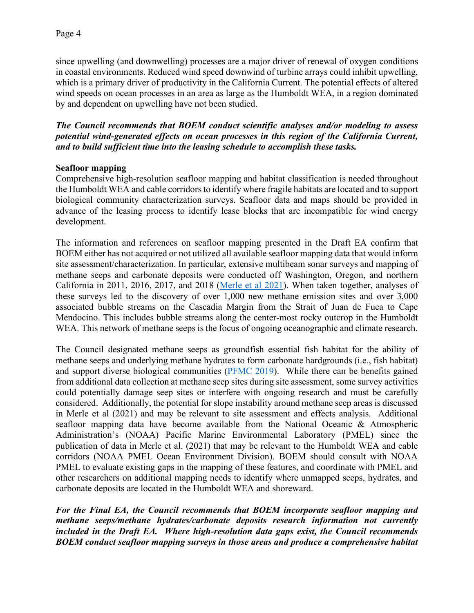since upwelling (and downwelling) processes are a major driver of renewal of oxygen conditions in coastal environments. Reduced wind speed downwind of turbine arrays could inhibit upwelling, which is a primary driver of productivity in the California Current. The potential effects of altered wind speeds on ocean processes in an area as large as the Humboldt WEA, in a region dominated by and dependent on upwelling have not been studied.

#### *The Council recommends that BOEM conduct scientific analyses and/or modeling to assess potential wind-generated effects on ocean processes in this region of the California Current, and to build sufficient time into the leasing schedule to accomplish these tasks.*

#### **Seafloor mapping**

Comprehensive high-resolution seafloor mapping and habitat classification is needed throughout the Humboldt WEA and cable corridors to identify where fragile habitats are located and to support biological community characterization surveys. Seafloor data and maps should be provided in advance of the leasing process to identify lease blocks that are incompatible for wind energy development.

The information and references on seafloor mapping presented in the Draft EA confirm that BOEM either has not acquired or not utilized all available seafloor mapping data that would inform site assessment/characterization. In particular, extensive multibeam sonar surveys and mapping of methane seeps and carbonate deposits were conducted off Washington, Oregon, and northern California in 2011, 2016, 2017, and 2018 [\(Merle et al 2021\)](https://www.frontiersin.org/articles/10.3389/feart.2021.531714/full). When taken together, analyses of these surveys led to the discovery of over 1,000 new methane emission sites and over 3,000 associated bubble streams on the Cascadia Margin from the Strait of Juan de Fuca to Cape Mendocino. This includes bubble streams along the center-most rocky outcrop in the Humboldt WEA. This network of methane seeps is the focus of ongoing oceanographic and climate research.

The Council designated methane seeps as groundfish essential fish habitat for the ability of methane seeps and underlying methane hydrates to form carbonate hardgrounds (i.e., fish habitat) and support diverse biological communities [\(PFMC 2019\)](https://www.pcouncil.org/documents/2019/06/groundfish-fmp-appendix-b-part-2.pdf/). While there can be benefits gained from additional data collection at methane seep sites during site assessment, some survey activities could potentially damage seep sites or interfere with ongoing research and must be carefully considered. Additionally, the potential for slope instability around methane seep areas is discussed in Merle et al (2021) and may be relevant to site assessment and effects analysis. Additional seafloor mapping data have become available from the National Oceanic & Atmospheric Administration's (NOAA) Pacific Marine Environmental Laboratory (PMEL) since the publication of data in Merle et al. (2021) that may be relevant to the Humboldt WEA and cable corridors (NOAA PMEL Ocean Environment Division). BOEM should consult with NOAA PMEL to evaluate existing gaps in the mapping of these features, and coordinate with PMEL and other researchers on additional mapping needs to identify where unmapped seeps, hydrates, and carbonate deposits are located in the Humboldt WEA and shoreward.

*For the Final EA, the Council recommends that BOEM incorporate seafloor mapping and methane seeps/methane hydrates/carbonate deposits research information not currently included in the Draft EA. Where high-resolution data gaps exist, the Council recommends BOEM conduct seafloor mapping surveys in those areas and produce a comprehensive habitat*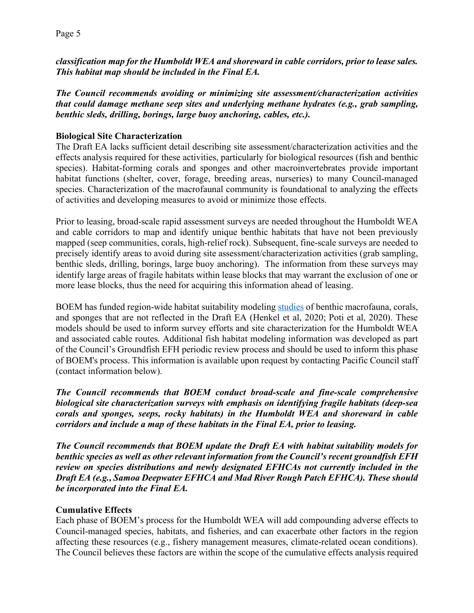Page 5

*classification map for the Humboldt WEA and shoreward in cable corridors, prior to lease sales. This habitat map should be included in the Final EA.*

*The Council recommends avoiding or minimizing site assessment/characterization activities that could damage methane seep sites and underlying methane hydrates (e.g., grab sampling, benthic sleds, drilling, borings, large buoy anchoring, cables, etc.).*

#### **Biological Site Characterization**

The Draft EA lacks sufficient detail describing site assessment/characterization activities and the effects analysis required for these activities, particularly for biological resources (fish and benthic species). Habitat-forming corals and sponges and other macroinvertebrates provide important habitat functions (shelter, cover, forage, breeding areas, nurseries) to many Council-managed species. Characterization of the macrofaunal community is foundational to analyzing the effects of activities and developing measures to avoid or minimize those effects.

Prior to leasing, broad-scale rapid assessment surveys are needed throughout the Humboldt WEA and cable corridors to map and identify unique benthic habitats that have not been previously mapped (seep communities, corals, high-relief rock). Subsequent, fine-scale surveys are needed to precisely identify areas to avoid during site assessment/characterization activities (grab sampling, benthic sleds, drilling, borings, large buoy anchoring). The information from these surveys may identify large areas of fragile habitats within lease blocks that may warrant the exclusion of one or more lease blocks, thus the need for acquiring this information ahead of leasing.

BOEM has funded region-wide habitat suitability modeling [studies](https://marinecadastre.gov/espis/#/search/study/100171) of benthic macrofauna, corals, and sponges that are not reflected in the Draft EA (Henkel et al, 2020; Poti et al, 2020). These models should be used to inform survey efforts and site characterization for the Humboldt WEA and associated cable routes. Additional fish habitat modeling information was developed as part of the Council's Groundfish EFH periodic review process and should be used to inform this phase of BOEM's process. This information is available upon request by contacting Pacific Council staff (contact information below).

*The Council recommends that BOEM conduct broad-scale and fine-scale comprehensive biological site characterization surveys with emphasis on identifying fragile habitats (deep-sea corals and sponges, seeps, rocky habitats) in the Humboldt WEA and shoreward in cable corridors and include a map of these habitats in the Final EA, prior to leasing.* 

*The Council recommends that BOEM update the Draft EA with habitat suitability models for benthic species as well as other relevant information from the Council's recent groundfish EFH review on species distributions and newly designated EFHCAs not currently included in the Draft EA (e.g., Samoa Deepwater EFHCA and Mad River Rough Patch EFHCA). These should be incorporated into the Final EA.*

#### **Cumulative Effects**

Each phase of BOEM's process for the Humboldt WEA will add compounding adverse effects to Council-managed species, habitats, and fisheries, and can exacerbate other factors in the region affecting these resources (e.g., fishery management measures, climate-related ocean conditions). The Council believes these factors are within the scope of the cumulative effects analysis required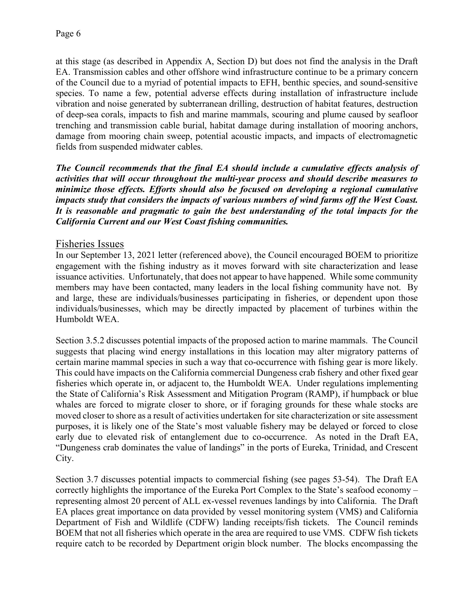at this stage (as described in Appendix A, Section D) but does not find the analysis in the Draft EA. Transmission cables and other offshore wind infrastructure continue to be a primary concern of the Council due to a myriad of potential impacts to EFH, benthic species, and sound-sensitive species. To name a few, potential adverse effects during installation of infrastructure include vibration and noise generated by subterranean drilling, destruction of habitat features, destruction of deep-sea corals, impacts to fish and marine mammals, scouring and plume caused by seafloor trenching and transmission cable burial, habitat damage during installation of mooring anchors, damage from mooring chain sweep, potential acoustic impacts, and impacts of electromagnetic fields from suspended midwater cables.

*The Council recommends that the final EA should include a cumulative effects analysis of activities that will occur throughout the multi-year process and should describe measures to minimize those effects. Efforts should also be focused on developing a regional cumulative impacts study that considers the impacts of various numbers of wind farms off the West Coast. It is reasonable and pragmatic to gain the best understanding of the total impacts for the California Current and our West Coast fishing communities.*

# Fisheries Issues

In our September 13, 2021 letter (referenced above), the Council encouraged BOEM to prioritize engagement with the fishing industry as it moves forward with site characterization and lease issuance activities. Unfortunately, that does not appear to have happened. While some community members may have been contacted, many leaders in the local fishing community have not. By and large, these are individuals/businesses participating in fisheries, or dependent upon those individuals/businesses, which may be directly impacted by placement of turbines within the Humboldt WEA.

Section 3.5.2 discusses potential impacts of the proposed action to marine mammals. The Council suggests that placing wind energy installations in this location may alter migratory patterns of certain marine mammal species in such a way that co-occurrence with fishing gear is more likely. This could have impacts on the California commercial Dungeness crab fishery and other fixed gear fisheries which operate in, or adjacent to, the Humboldt WEA. Under regulations implementing the State of California's Risk Assessment and Mitigation Program (RAMP), if humpback or blue whales are forced to migrate closer to shore, or if foraging grounds for these whale stocks are moved closer to shore as a result of activities undertaken for site characterization or site assessment purposes, it is likely one of the State's most valuable fishery may be delayed or forced to close early due to elevated risk of entanglement due to co-occurrence. As noted in the Draft EA, "Dungeness crab dominates the value of landings" in the ports of Eureka, Trinidad, and Crescent City.

Section 3.7 discusses potential impacts to commercial fishing (see pages 53-54). The Draft EA correctly highlights the importance of the Eureka Port Complex to the State's seafood economy – representing almost 20 percent of ALL ex-vessel revenues landings by into California. The Draft EA places great importance on data provided by vessel monitoring system (VMS) and California Department of Fish and Wildlife (CDFW) landing receipts/fish tickets. The Council reminds BOEM that not all fisheries which operate in the area are required to use VMS. CDFW fish tickets require catch to be recorded by Department origin block number. The blocks encompassing the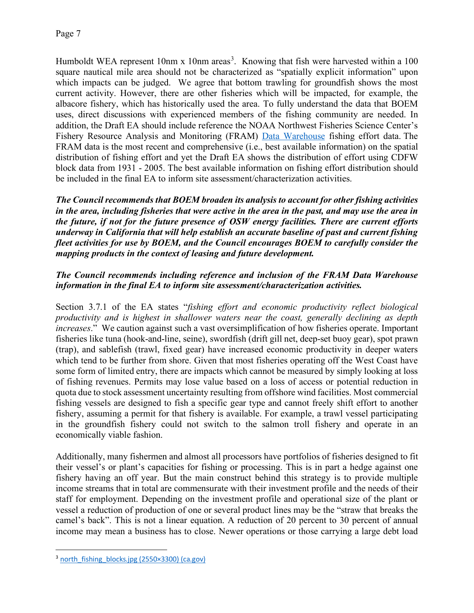Humboldt WEA represent 10nm x 10nm areas<sup>[3](#page-6-0)</sup>. Knowing that fish were harvested within a 100 square nautical mile area should not be characterized as "spatially explicit information" upon which impacts can be judged. We agree that bottom trawling for groundfish shows the most current activity. However, there are other fisheries which will be impacted, for example, the albacore fishery, which has historically used the area. To fully understand the data that BOEM uses, direct discussions with experienced members of the fishing community are needed. In addition, the Draft EA should include reference the NOAA Northwest Fisheries Science Center's Fishery Resource Analysis and Monitoring (FRAM) [Data Warehouse](https://www.webapps.nwfsc.noaa.gov/data/map) fishing effort data. The FRAM data is the most recent and comprehensive (i.e., best available information) on the spatial distribution of fishing effort and yet the Draft EA shows the distribution of effort using CDFW block data from 1931 - 2005. The best available information on fishing effort distribution should be included in the final EA to inform site assessment/characterization activities.

*The Council recommends that BOEM broaden its analysis to account for other fishing activities in the area, including fisheries that were active in the area in the past, and may use the area in the future, if not for the future presence of OSW energy facilities. There are current efforts underway in California that will help establish an accurate baseline of past and current fishing fleet activities for use by BOEM, and the Council encourages BOEM to carefully consider the mapping products in the context of leasing and future development.* 

# *The Council recommends including reference and inclusion of the FRAM Data Warehouse information in the final EA to inform site assessment/characterization activities.*

Section 3.7.1 of the EA states "*fishing effort and economic productivity reflect biological productivity and is highest in shallower waters near the coast, generally declining as depth increases*." We caution against such a vast oversimplification of how fisheries operate. Important fisheries like tuna (hook-and-line, seine), swordfish (drift gill net, deep-set buoy gear), spot prawn (trap), and sablefish (trawl, fixed gear) have increased economic productivity in deeper waters which tend to be further from shore. Given that most fisheries operating off the West Coast have some form of limited entry, there are impacts which cannot be measured by simply looking at loss of fishing revenues. Permits may lose value based on a loss of access or potential reduction in quota due to stock assessment uncertainty resulting from offshore wind facilities. Most commercial fishing vessels are designed to fish a specific gear type and cannot freely shift effort to another fishery, assuming a permit for that fishery is available. For example, a trawl vessel participating in the groundfish fishery could not switch to the salmon troll fishery and operate in an economically viable fashion.

Additionally, many fishermen and almost all processors have portfolios of fisheries designed to fit their vessel's or plant's capacities for fishing or processing. This is in part a hedge against one fishery having an off year. But the main construct behind this strategy is to provide multiple income streams that in total are commensurate with their investment profile and the needs of their staff for employment. Depending on the investment profile and operational size of the plant or vessel a reduction of production of one or several product lines may be the "straw that breaks the camel's back". This is not a linear equation. A reduction of 20 percent to 30 percent of annual income may mean a business has to close. Newer operations or those carrying a large debt load

<span id="page-6-0"></span><sup>&</sup>lt;sup>3</sup> [north\\_fishing\\_blocks.jpg \(2550×3300\) \(ca.gov\)](https://apps.wildlife.ca.gov/MarineLogs/Content/Cpfv/images/north_fishing_blocks.jpg)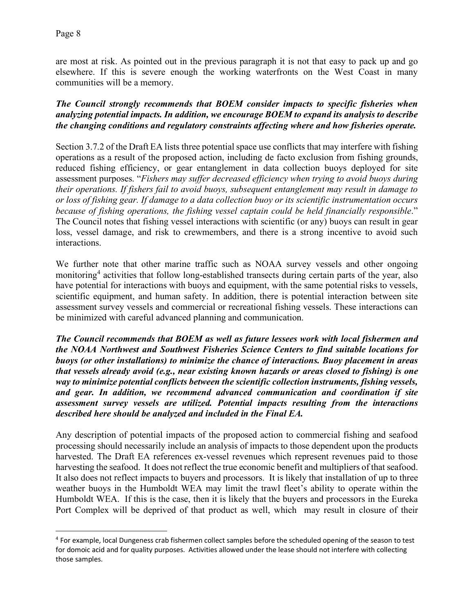are most at risk. As pointed out in the previous paragraph it is not that easy to pack up and go elsewhere. If this is severe enough the working waterfronts on the West Coast in many communities will be a memory.

# *The Council strongly recommends that BOEM consider impacts to specific fisheries when analyzing potential impacts. In addition, we encourage BOEM to expand its analysis to describe the changing conditions and regulatory constraints affecting where and how fisheries operate.*

Section 3.7.2 of the Draft EA lists three potential space use conflicts that may interfere with fishing operations as a result of the proposed action, including de facto exclusion from fishing grounds, reduced fishing efficiency, or gear entanglement in data collection buoys deployed for site assessment purposes. "*Fishers may suffer decreased efficiency when trying to avoid buoys during their operations. If fishers fail to avoid buoys, subsequent entanglement may result in damage to or loss of fishing gear. If damage to a data collection buoy or its scientific instrumentation occurs because of fishing operations, the fishing vessel captain could be held financially responsible*." The Council notes that fishing vessel interactions with scientific (or any) buoys can result in gear loss, vessel damage, and risk to crewmembers, and there is a strong incentive to avoid such interactions.

We further note that other marine traffic such as NOAA survey vessels and other ongoing monitoring<sup>[4](#page-7-0)</sup> activities that follow long-established transects during certain parts of the year, also have potential for interactions with buoys and equipment, with the same potential risks to vessels, scientific equipment, and human safety. In addition, there is potential interaction between site assessment survey vessels and commercial or recreational fishing vessels. These interactions can be minimized with careful advanced planning and communication.

*The Council recommends that BOEM as well as future lessees work with local fishermen and the NOAA Northwest and Southwest Fisheries Science Centers to find suitable locations for buoys (or other installations) to minimize the chance of interactions. Buoy placement in areas that vessels already avoid (e.g., near existing known hazards or areas closed to fishing) is one way to minimize potential conflicts between the scientific collection instruments, fishing vessels, and gear. In addition, we recommend advanced communication and coordination if site assessment survey vessels are utilized. Potential impacts resulting from the interactions described here should be analyzed and included in the Final EA.* 

Any description of potential impacts of the proposed action to commercial fishing and seafood processing should necessarily include an analysis of impacts to those dependent upon the products harvested. The Draft EA references ex-vessel revenues which represent revenues paid to those harvesting the seafood. It does not reflect the true economic benefit and multipliers of that seafood. It also does not reflect impacts to buyers and processors. It is likely that installation of up to three weather buoys in the Humboldt WEA may limit the trawl fleet's ability to operate within the Humboldt WEA. If this is the case, then it is likely that the buyers and processors in the Eureka Port Complex will be deprived of that product as well, which may result in closure of their

<span id="page-7-0"></span><sup>&</sup>lt;sup>4</sup> For example, local Dungeness crab fishermen collect samples before the scheduled opening of the season to test for domoic acid and for quality purposes. Activities allowed under the lease should not interfere with collecting those samples.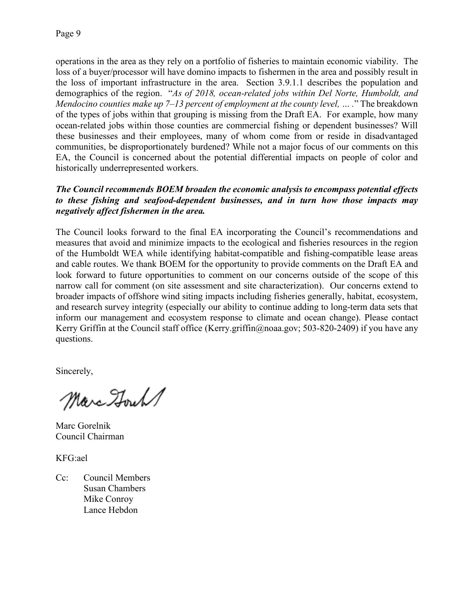operations in the area as they rely on a portfolio of fisheries to maintain economic viability. The loss of a buyer/processor will have domino impacts to fishermen in the area and possibly result in the loss of important infrastructure in the area. Section 3.9.1.1 describes the population and demographics of the region. "*As of 2018, ocean-related jobs within Del Norte, Humboldt, and Mendocino counties make up 7–13 percent of employment at the county level, … .*" The breakdown of the types of jobs within that grouping is missing from the Draft EA. For example, how many ocean-related jobs within those counties are commercial fishing or dependent businesses? Will these businesses and their employees, many of whom come from or reside in disadvantaged communities, be disproportionately burdened? While not a major focus of our comments on this EA, the Council is concerned about the potential differential impacts on people of color and historically underrepresented workers.

#### *The Council recommends BOEM broaden the economic analysis to encompass potential effects to these fishing and seafood-dependent businesses, and in turn how those impacts may negatively affect fishermen in the area.*

The Council looks forward to the final EA incorporating the Council's recommendations and measures that avoid and minimize impacts to the ecological and fisheries resources in the region of the Humboldt WEA while identifying habitat-compatible and fishing-compatible lease areas and cable routes. We thank BOEM for the opportunity to provide comments on the Draft EA and look forward to future opportunities to comment on our concerns outside of the scope of this narrow call for comment (on site assessment and site characterization). Our concerns extend to broader impacts of offshore wind siting impacts including fisheries generally, habitat, ecosystem, and research survey integrity (especially our ability to continue adding to long-term data sets that inform our management and ecosystem response to climate and ocean change). Please contact Kerry Griffin at the Council staff office (Kerry.griffin@noaa.gov; 503-820-2409) if you have any questions.

Sincerely,

Marc Hours

Marc Gorelnik Council Chairman

KFG:ael

Cc: Council Members Susan Chambers Mike Conroy Lance Hebdon